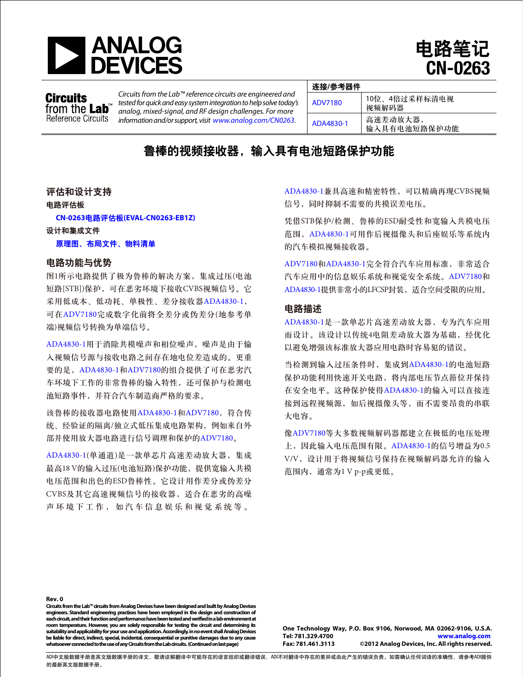



**Circuits** from the **Lab**<sup>"</sup> Reference Circuits

*Circuits from the Lab™ reference circuits are engineered and tested for quick and easy system integration to help solve today's analog, mixed-signal, and RF design challenges. For more information and/or support, visit www.analog.com/CN0263.*

| 连接/参考器件   |                          |
|-----------|--------------------------|
| ADV7180   | 10位、4倍过采样标清电视<br>视频解码器   |
| ADA4830-1 | 高速差动放大器,<br>输入具有电池短路保护功能 |

# 鲁棒的视频接收器,输入具有电池短路保护功能

# 评估和设计支持

#### 电路评估板

 **CN-0263**电路评估板**[\(EVAL-CN0263-EB1Z\)](http://www.analog.com/zh/circuits-from-the-lab/CN0263/vc.html)**

#### 设计和集成文件

#### [原理图、布局文件、物料清单](http://www.analog.com/CN0263-DesignSupport)

### 电路功能与优势

图1所示电路提供了极为鲁棒的解决方案,集成过压(电池 短路[STB])保护,可在恶劣环境下接收CVBS视频信号。它 采用低成本、低功耗、单极性、差分接收器[ADA4830-1](www.analog.com/zh/ADA4830-1), 可在[ADV7180](www.analog.com/zh/ADV7180)完成数字化前将全差分或伪差分(地参考单 端)视频信号转换为单端信号。

[ADA4830-1](www.analog.com/zh/ADA4830-1)用于消除共模噪声和相位噪声,噪声是由于输 入视频信号源与接收电路之间存在地电位差造成的。更重 要的是,[ADA4830-1](www.analog.com/zh/ADA4830-1)和[ADV7180](www.analog.com/zh/ADV7180)的组合提供了可在恶劣汽 车环境下工作的非常鲁棒的输入特性,还可保护与检测电 池短路事件,并符合汽车制造商严格的要求。

该鲁棒的接收器电路使用[ADA4830-1](www.analog.com/zh/ADA4830-1)和[ADV7180](www.analog.com/zh/ADV7180), 符合传 统、经验证的隔离/独立式低压集成电路架构,例如来自外 部并使用放大器电路进行信号调理和保护的[ADV7180](www.analog.com/zh/ADV7180)。

[ADA4830-1\(](www.analog.com/zh/ADA4830-1)单通道)是一款单芯片高速差动放大器,集成 最高18 V的输入过压(电池短路)保护功能, 提供宽输入共模 电压范围和出色的ESD鲁棒性。它设计用作差分或伪差分 CVBS及其它高速视频信号的接收器,适合在恶劣的高噪 声环境下工作,如汽车信息娱乐和视觉系统等。

[ADA4830-1](www.analog.com/zh/ADA4830-1)兼具高速和精密特性,可以精确再现CVBS视频 信号,同时抑制不需要的共模误差电压。

凭借STB保护/检测、鲁棒的ESD耐受性和宽输入共模电压 范围, [ADA4830-1](www.analog.com/zh/ADA4830-1)可用作后视摄像头和后座娱乐等系统内 的汽车模拟视频接收器。

ADV7180和[ADA4830-1](www.analog.com/zh/ADA4830-1)完全符合汽车应用标准,非常适合 汽车应用中的信息娱乐系统和视觉安全系统。[ADV7180](www.analog.com/zh/ADV7180)和 [ADA4830-1](www.analog.com/zh/ADA4830-1)提供非常小的LFCSP封装,适合空间受限的应用。

#### 电路描述

[ADA4830-1](www.analog.com/zh/ADA4830-1)是一款单芯片高速差动放大器,专为汽车应用 而设计。该设计以传统4电阻差动放大器为基础,经优化 以避免增强该标准放大器应用电路时容易犯的错误。

当检测到输入过压条件时,集成到[ADA4830-1](www.analog.com/zh/ADA4830-1)的电池短路 保护功能利用快速开关电路,将内部电压节点箝位并保持 在安全电平。这种保护使得[ADA4830-1](www.analog.com/zh/ADA4830-1)的输入可以直接连 接到远程视频源,如后视摄像头等,而不需要昂贵的串联 大电容。

像[ADV7180](www.analog.com/zh/ADV7180)等大多数视频解码器都建立在极低的电压处理 上,因此输入电压范围有限。[ADA4830-1](www.analog.com/zh/ADA4830-1)的信号增益为0.5 V/V,设计用于将视频信号保持在视频解码器允许的输入 范围内,通常为1 V p-p或更低。

**Rev. 0** 

Circuits from the Lab™ circuits from Analog Devices have been designed and built by Analog Devices **engineers. Standard engineering practices have been employed in the design and construction of**  each circuit, and their function and performance have been tested and verified in a lab environment at **room temperature. However, you are solely responsible for testing the circuit and determining its suitability and applicability for your use and application. Accordingly, in no event shall Analog Devices be liable for direct, indirect, special, incidental, consequential or punitive damages due to any cause whatsoever connected to the use of any Circuits from the Lab circuits. (Continued on last page)** 

**One Technology Way, P.O. Box 9106, Norwood, MA 02062-9106, U.S.A. Tel: 781.329.4700 www.analog.com Fax: 781.461.3113 ©2012 Analog Devices, Inc. All rights reserved.**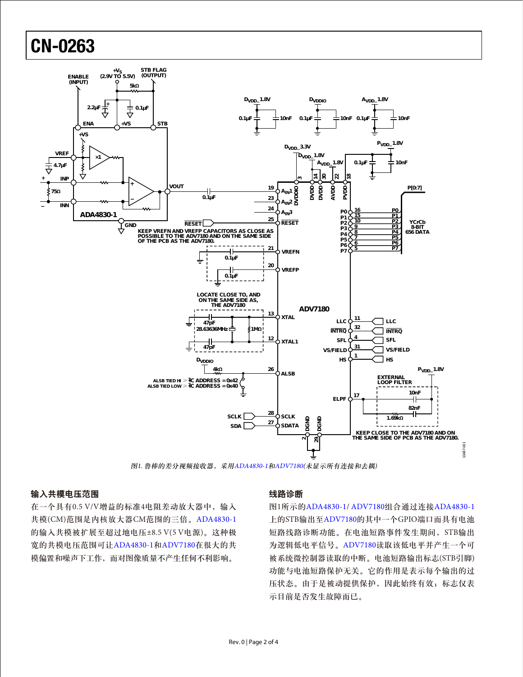# CN-0263



图1. 鲁棒的差分视频接收器,采用[ADA4830-1](www.analog.com/zh/ADA4830-1)和[ADV7180\(](www.analog.com/zh/ADV7180)未显示所有连接和去耦)

# 输入共模电压范围

在一个具有0.5 V/V增益的标准4电阻差动放大器中,输入 共模(CM)范围是内核放大器CM范围的三倍。[ADA4830-1](www.analog.com/zh/ADA4830-1) 的输入共模被扩展至超过地电压±8.5 V(5 V电源)。这种极 宽的共模电压范围可让[ADA4830-1](www.analog.com/zh/ADA4830-1)和[ADV7180](www.analog.com/zh/ADV7180)在很大的共 模偏置和噪声下工作,而对图像质量不产生任何不利影响。

#### 线路诊断

图1所示的[ADA4830-1/](www.analog.com/zh/ADA4830-1) [ADV7180](www.analog.com/zh/ADV7180)组合通过连接[ADA4830-1](www.analog.com/zh/ADA4830-1) 上的STB输出至[ADV7180](www.analog.com/zh/ADV7180)的其中一个GPIO端口而具有电池 短路线路诊断功能。在电池短路事件发生期间,STB输出 为逻辑低电平信号。[ADV7180](www.analog.com/zh/ADV7180)读取该低电平并产生一个可 被系统微控制器读取的中断。电池短路输出标志(STB引脚) 功能与电池短路保护无关。它的作用是表示每个输出的过 压状态。由于是被动提供保护,因此始终有效;标志仅表 示目前是否发生故障而已。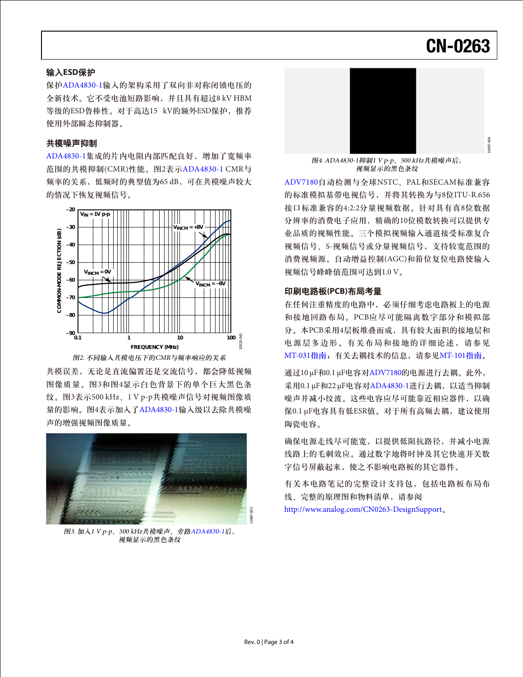# CN-0263

10487-004

#### 输入**ESD**保护

保护[ADA4830-1](www.analog.com/zh/ADA4830-1)输入的架构采用了双向非对称闭锁电压的 全新技术。它不受电池短路影响,并且具有超过8 kV HBM 等级的ESD鲁棒性。对于高达15 kV的额外ESD保护,推荐 使用外部瞬态抑制器。

#### 共模噪声抑制

[ADA4830-1](www.analog.com/zh/ADA4830-1)集成的片内电阻内部匹配良好,增加了宽频率 范围的共模抑制(CMR)性能。图2表示[ADA4830-1](www.analog.com/zh/ADA4830-1) CMR与 频率的关系,低频时的典型值为65 dB,可在共模噪声较大 的情况下恢复视频信号。



图2. 不同输入共模电压下的CMR与频率响应的关系

共模误差,无论是直流偏置还是交流信号,都会降低视频 图像质量。图3和图4显示白色背景下的单个巨大黑色条 纹。图3表示500 kHz、1 V p-p共模噪声信号对视频图像质 量的影响。图4表示加入了[ADA4830-1](www.analog.com/zh/ADA4830-1)输入级以去除共模噪 声的增强视频图像质量。



图3. 加入1 V p-p、500 kHz共模噪声、旁路[ADA4830-1](www.analog.com/zh/ADA4830-1)后, 视频显示的黑色条纹



图4. ADA4830-1抑制1 V p-p、500 kHz共模噪声后, 视频显示的黑色条纹

[ADV7180](www.analog.com/zh/ADV7180)自动检测与全球NSTC、PAL和SECAM标准兼容 的标准模拟基带电视信号,并将其转换为与8位ITU-R.656 接口标准兼容的4:2:2分量视频数据。针对具有真8位数据 分辨率的消费电子应用,精确的10位模数转换可以提供专 业品质的视频性能。三个模拟视频输入通道接受标准复合 视频信号、S-视频信号或分量视频信号,支持较宽范围的 消费视频源。自动增益控制(AGC)和箝位复位电路使输入 视频信号峰峰值范围可达到1.0 V。

#### 印刷电路板**(PCB)**布局考量

在任何注重精度的电路中,必须仔细考虑电路板上的电源 和接地回路布局。PCB应尽可能隔离数字部分和模拟部 分。本PCB采用4层板堆叠而成,具有较大面积的接地层和 电源层多边形。有关布局和接地的详细论述,请参见 [MT-031](http://www.analog.com/MT-031)指南;有关去耦技术的信息,请参见[MT-101](http://www.analog.com/MT-101)指南。

通过10 μF和0.1 μF电容对[ADV7180](www.analog.com/zh/ADV7180)的电源进行去耦。此外, 采用0.1 μF和22 μF电容对[ADA4830-1](www.analog.com/zh/ADA4830-1)进行去耦,以适当抑制 噪声并减小纹波。这些电容应尽可能靠近相应器件,以确 保0.1 μF电容具有低ESR值。对于所有高频去耦,建议使用 陶瓷电容。

确保电源走线尽可能宽,以提供低阻抗路径,并减小电源 线路上的毛刺效应。通过数字地将时钟及其它快速开关数 字信号屏蔽起来,使之不影响电路板的其它器件。

有关本电路笔记的完整设计支持包,包括电路板布局布 线、完整的原理图和物料清单,请参阅 http://www.analog.com/CN0263-DesignSupport。